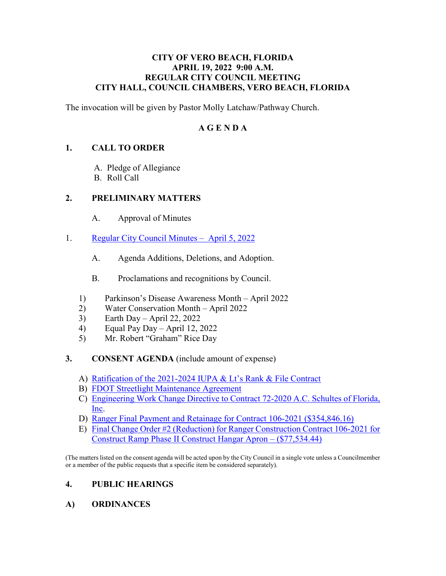#### **CITY OF VERO BEACH, FLORIDA APRIL 19, 2022 9:00 A.M. REGULAR CITY COUNCIL MEETING CITY HALL, COUNCIL CHAMBERS, VERO BEACH, FLORIDA**

The invocation will be given by Pastor Molly Latchaw/Pathway Church.

#### **A G E N D A**

#### **1. CALL TO ORDER**

- A. Pledge of Allegiance
- B. Roll Call

#### **2. PRELIMINARY MATTERS**

- $A<sub>1</sub>$ Approval of Minutes
- 1. [Regular City Council Minutes April 5, 2022](https://www.covb.org/DocumentCenter/View/5884/2A-1) 
	- A. Agenda Additions, Deletions, and Adoption.
	- B. Proclamations and recognitions by Council.
	- 1) Parkinson's Disease Awareness Month April 2022
	- 2) Water Conservation Month April 2022
	- 3) Earth Day April 22, 2022
	- 4) Equal Pay Day April 12, 2022
	- 5) Mr. Robert "Graham" Rice Day

#### **3. CONSENT AGENDA** (include amount of expense)

- A) [Ratification of the 2021-2024 IUPA & Lt's Rank & File Contract](https://www.covb.org/DocumentCenter/View/5885/3-A)
- B) [FDOT Streetlight Maintenance Agreement](https://www.covb.org/DocumentCenter/View/5886/3-B)
- [C\) Engineering Work Change Directive to Contract 72-2020 A.C. Schultes of Florida,](https://www.covb.org/DocumentCenter/View/5887/3-C)  [Inc.](https://www.covb.org/DocumentCenter/View/5887/3-C)
- D) [Ranger Final Payment and Retainage for Contract 106-2021 \(\\$354,846.16\)](https://www.covb.org/DocumentCenter/View/5888/3-D)
- [E\) Final Change Order #2 \(Reduction\) for Ranger Construction Contract 106-2021 for](https://www.covb.org/DocumentCenter/View/5889/3-E)  [Construct Ramp Phase II Construct Hangar Apron – \(\\$77,534.44\)](https://www.covb.org/DocumentCenter/View/5889/3-E)

(The matters listed on the consent agenda will be acted upon by the City Council in a single vote unless a Councilmember or a member of the public requests that a specific item be considered separately).

## **4. PUBLIC HEARINGS**

**A) ORDINANCES**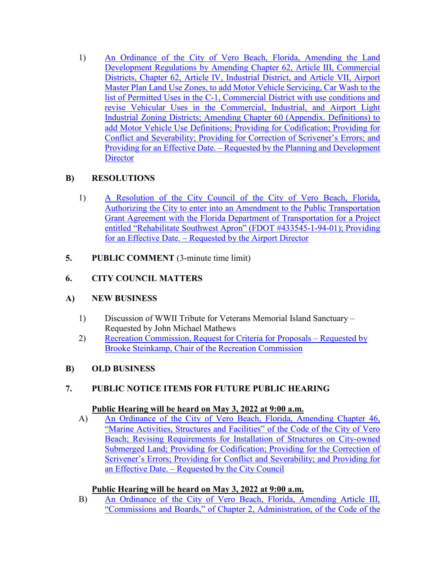[Development Regulations by Amending Chapter 62, Article III, Commercial](https://www.covb.org/DocumentCenter/View/5890/4-A1)  [Districts, Chapter 62, Article IV, Industrial District, and Article VII, Airport](https://www.covb.org/DocumentCenter/View/5890/4-A1)  [list of Permitted Uses in the C-1, Commercial District with use conditions and](https://www.covb.org/DocumentCenter/View/5890/4-A1)  [revise Vehicular Uses in the Commercial, Industrial, and Airport Light](https://www.covb.org/DocumentCenter/View/5890/4-A1)  [1\) An Ordinance of the City of Vero Beach, Florida, Amending the Land](https://www.covb.org/DocumentCenter/View/5890/4-A1)  [Master Plan Land Use Zones, to add Motor Vehicle Servicing, Car Wash to the](https://www.covb.org/DocumentCenter/View/5890/4-A1)  [Industrial Zoning Districts; Amending Chapter 60 \(Appendix. Definitions\) to](https://www.covb.org/DocumentCenter/View/5890/4-A1)  [add Motor Vehicle Use Definitions; Providing for Codification; Providing for](https://www.covb.org/DocumentCenter/View/5890/4-A1)  [Conflict and Severability; Providing for Correction of Scrivener's Errors; and](https://www.covb.org/DocumentCenter/View/5890/4-A1)  [Providing for an Effective Date. – Requested by the Planning and Development](https://www.covb.org/DocumentCenter/View/5890/4-A1)  **Director** 

# **B) RESOLUTIONS**

- 1) A Resolution of the City Council of the City of Vero Beach, Florida, Authorizing the City to enter into an Amendment to the Public Transportation [Grant Agreement with the Florida Department of Transportation for a Project](https://www.covb.org/DocumentCenter/View/5891/4B-1)  [entitled "Rehabilitate Southwest Apron" \(FDOT #433545-1-94-01\); Providing](https://www.covb.org/DocumentCenter/View/5891/4B-1)  [for an Effective Date. – Requested by the Airport Director](https://www.covb.org/DocumentCenter/View/5891/4B-1)
- **5.** PUBLIC COMMENT (3-minute time limit)

# **6. CITY COUNCIL MATTERS**

## **A) NEW BUSINESS**

- 1) Discussion of WWII Tribute for Veterans Memorial Island Sanctuary Requested by John Michael Mathews
- [2\) Recreation Commission, Request for Criteria for Proposals Requested by](https://www.covb.org/DocumentCenter/View/5892/6A-2)  [Brooke Steinkamp, Chair of the Recreation Commission](https://www.covb.org/DocumentCenter/View/5892/6A-2)

## **B) OLD BUSINESS**

# **7. PUBLIC NOTICE ITEMS FOR FUTURE PUBLIC HEARING Public Hearing will be heard on May 3, 2022 at 9:00 a.m.**

#### Public Hearing will be heard on May 3, 2022 at 9:00 a.m.

A) An Ordinance of the City of Vero Beach, Florida, Amending Chapter 46, ["Marine Activities, Structures and Facilities" of the Code of the City of Vero](https://www.covb.org/DocumentCenter/View/5893/7-A)  [Beach; Revising Requirements for Installation of Structures on City-owned](https://www.covb.org/DocumentCenter/View/5893/7-A)  [Submerged Land; Providing for Codification; Providing for the Correction of](https://www.covb.org/DocumentCenter/View/5893/7-A)  [Scrivener's Errors; Providing for Conflict and Severability; and Providing for](https://www.covb.org/DocumentCenter/View/5893/7-A)  [an Effective Date. – Requested by the City Council](https://www.covb.org/DocumentCenter/View/5893/7-A) 

## **Public Hearing will be heard on May 3, 2022 at 9:00 a.m.**

B) An Ordinance of the City of Vero Beach, Florida, Amending Article III, ["Commissions and Boards," of Chapter 2, Administration, of the Code of the](https://www.covb.org/DocumentCenter/View/5894/7-B)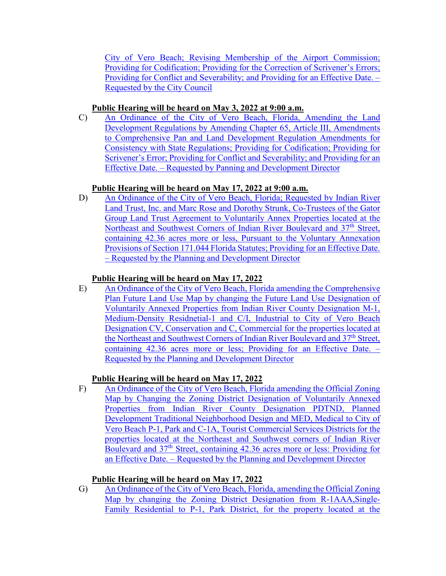[City of Vero Beach; Revising Membership of the Airport Commission;](https://www.covb.org/DocumentCenter/View/5894/7-B)  [Providing for Codification; Providing for the Correction of Scrivener's Errors;](https://www.covb.org/DocumentCenter/View/5894/7-B)  [Providing for Conflict and Severability; and Providing for an Effective Date. –](https://www.covb.org/DocumentCenter/View/5894/7-B)  [Requested by the City Council](https://www.covb.org/DocumentCenter/View/5894/7-B) 

#### **Public Hearing will be heard on May 3, 2022 at 9:00 a.m.**

 [Development Regulations by Amending Chapter 65, Article III, Amendments](https://www.covb.org/DocumentCenter/View/5895/7-C)  [C\) An Ordinance of the City of Vero Beach, Florida, Amending the Land](https://www.covb.org/DocumentCenter/View/5895/7-C)  [to Comprehensive Pan and Land Development Regulation Amendments for](https://www.covb.org/DocumentCenter/View/5895/7-C)  [Consistency with State Regulations; Providing for Codification; Providing for](https://www.covb.org/DocumentCenter/View/5895/7-C)  [Scrivener's Error; Providing for Conflict and Severability; and Providing for an](https://www.covb.org/DocumentCenter/View/5895/7-C)  [Effective Date. – Requested by Panning and Development Director](https://www.covb.org/DocumentCenter/View/5895/7-C) 

## **Public Hearing will be heard on May 17, 2022 at 9:00 a.m.**

Group Land Trust Agreement to Voluntarily Annex Properties located at the [D\) An Ordinance of the City of Vero Beach, Florida; Requested by Indian River](https://www.covb.org/DocumentCenter/View/5896/7-D)  [Land Trust, Inc. and Marc Rose and Dorothy Strunk, Co-Trustees of the Gator](https://www.covb.org/DocumentCenter/View/5896/7-D)  Northeast and Southwest Corners of Indian River Boulevard and 37<sup>th</sup> Street, [containing 42.36 acres more or less, Pursuant to the Voluntary Annexation](https://www.covb.org/DocumentCenter/View/5896/7-D)  [Provisions of Section 171.044 Florida Statutes; Providing for an Effective Date.](https://www.covb.org/DocumentCenter/View/5896/7-D)  [– Requested by the Planning and Development Director](https://www.covb.org/DocumentCenter/View/5896/7-D) 

#### **Public Hearing will be heard on May 17, 2022**

Plan Future Land Use Map by changing the Future Land Use Designation of [the Northeast and Southwest Corners of Indian River Boulevard and 37](https://www.covb.org/DocumentCenter/View/5897/7-E)<sup>th</sup> Street, [E\) An Ordinance of the City of Vero Beach, Florida amending the Comprehensive](https://www.covb.org/DocumentCenter/View/5897/7-E)  [Voluntarily Annexed Properties from Indian River County Designation M-1,](https://www.covb.org/DocumentCenter/View/5897/7-E)  Medium-Density Residnetial-1 and C/I, Industrial to City of Vero Beach [Designation CV, Conservation and C, Commercial for the properties located at](https://www.covb.org/DocumentCenter/View/5897/7-E)  [containing 42.36 acres more or less; Providing for an Effective Date. –](https://www.covb.org/DocumentCenter/View/5897/7-E)  [Requested by the Planning and Development Director](https://www.covb.org/DocumentCenter/View/5897/7-E) 

## **Public Hearing will be heard on May 17, 2022**

F) An Ordinance of the City of Vero Beach, Florida amending the Official Zoning [Development Traditional Neighborhood Design and MED, Medical to City of](https://www.covb.org/DocumentCenter/View/5880/7-F)  [Map by Changing the Zoning District Designation of Voluntarily Annexed](https://www.covb.org/DocumentCenter/View/5880/7-F)  [Properties from Indian River County Designation PDTND, Planned](https://www.covb.org/DocumentCenter/View/5880/7-F)  [Vero Beach P-1, Park and C-1A, Tourist Commercial Services Districts for the](https://www.covb.org/DocumentCenter/View/5880/7-F)  [properties located at the Northeast and Southwest corners of Indian River](https://www.covb.org/DocumentCenter/View/5880/7-F)  [Boulevard and 37th Street, containing 42.36 acres more or less: Providing for](https://www.covb.org/DocumentCenter/View/5880/7-F)  [an Effective Date. – Requested by the Planning and Development Director](https://www.covb.org/DocumentCenter/View/5880/7-F) 

## **Public Hearing will be heard on May 17, 2022**

G) An Ordinance of the City of Vero Beach, Florida, amending the Official Zoning [Map by changing the Zoning District Designation from R-1AAA,Single-](https://www.covb.org/DocumentCenter/View/5881/7-G)[Family Residential to P-1, Park District, for the property located at the](https://www.covb.org/DocumentCenter/View/5881/7-G)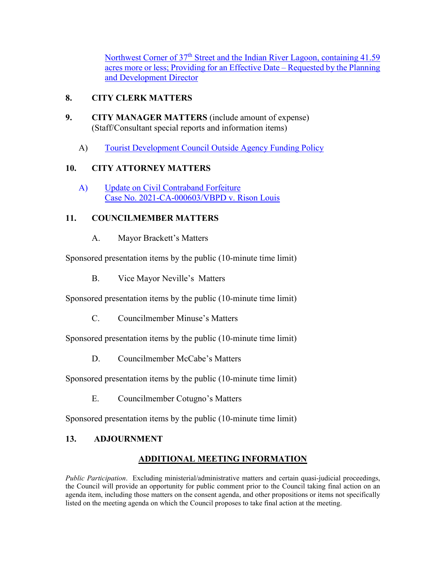Northwest Corner of 37<sup>th</sup> Street and the Indian River Lagoon, containing 41.59 [acres more or less; Providing for an Effective Date – Requested by the Planning](https://www.covb.org/DocumentCenter/View/5881/7-G)  [and Development Director](https://www.covb.org/DocumentCenter/View/5881/7-G) 

# **8. CITY CLERK MATTERS**

- **9. CITY MANAGER MATTERS** (include amount of expense) (Staff/Consultant special reports and information items)
	- (A) Tourist Development Council Outside Agency Funding Policy

# **10. CITY ATTORNEY MATTERS**

[A\) Update on Civil Contraband Forfeiture](https://www.covb.org/DocumentCenter/View/5883/10-A)  [Case No. 2021-CA-000603/VBPD v. Rison Louis](https://www.covb.org/DocumentCenter/View/5883/10-A) 

# **11. COUNCILMEMBER MATTERS**

A. Mayor Brackett's Matters

Sponsored presentation items by the public (10-minute time limit)

B. Vice Mayor Neville's Matters

Sponsored presentation items by the public (10-minute time limit)

C. Councilmember Minuse's Matters

Sponsored presentation items by the public (10-minute time limit)

D. Councilmember McCabe's Matters

Sponsored presentation items by the public (10-minute time limit)

E. Councilmember Cotugno's Matters

Sponsored presentation items by the public (10-minute time limit)

# **13. ADJOURNMENT**

# **ADDITIONAL MEETING INFORMATION**

 agenda item, including those matters on the consent agenda, and other propositions or items not specifically *Public Participation*. Excluding ministerial/administrative matters and certain quasi-judicial proceedings, the Council will provide an opportunity for public comment prior to the Council taking final action on an listed on the meeting agenda on which the Council proposes to take final action at the meeting.